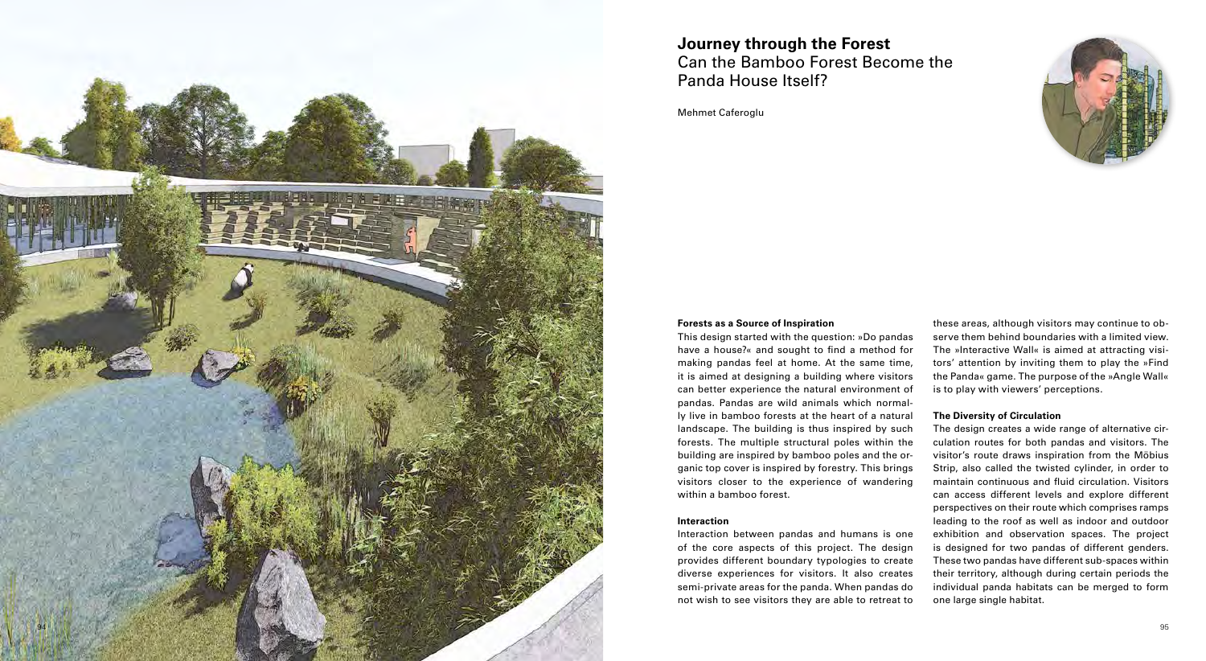**Forests as a Source of Inspiration** This design started with the question: »Do pandas have a house?« and sought to find a method for making pandas feel at home. At the same time, it is aimed at designing a building where visitors can better experience the natural environment of pandas. Pandas are wild animals which normally live in bamboo forests at the heart of a natural landscape. The building is thus inspired by such forests. The multiple structural poles within the building are inspired by bamboo poles and the organic top cover is inspired by forestry. This brings visitors closer to the experience of wandering within a bamboo forest. these areas, although visitors may continue to observe them behind boundaries with a limited view. The »Interactive Wall« is aimed at attracting visitors' attention by inviting them to play the »Find the Panda« game. The purpose of the »Angle Wall« is to play with viewers' perceptions. **The Diversity of Circulation** The design creates a wide range of alternative cir-

**Interaction** Interaction between pandas and humans is one of the core aspects of this project. The design provides different boundary typologies to create diverse experiences for visitors. It also creates semi-private areas for the panda. When pandas do not wish to see visitors they are able to retreat to culation routes for both pandas and visitors. The visitor's route draws inspiration from the Möbius Strip, also called the twisted cylinder, in order to maintain continuous and fluid circulation. Visitors can access different levels and explore different perspectives on their route which comprises ramps leading to the roof as well as indoor and outdoor exhibition and observation spaces. The project is designed for two pandas of different genders. These two pandas have different sub-spaces within their territory, although during certain periods the individual panda habitats can be merged to form one large single habitat.



# **Journey through the Forest** Can the Bamboo Forest Become the Panda House Itself?

Mehmet Caferoglu

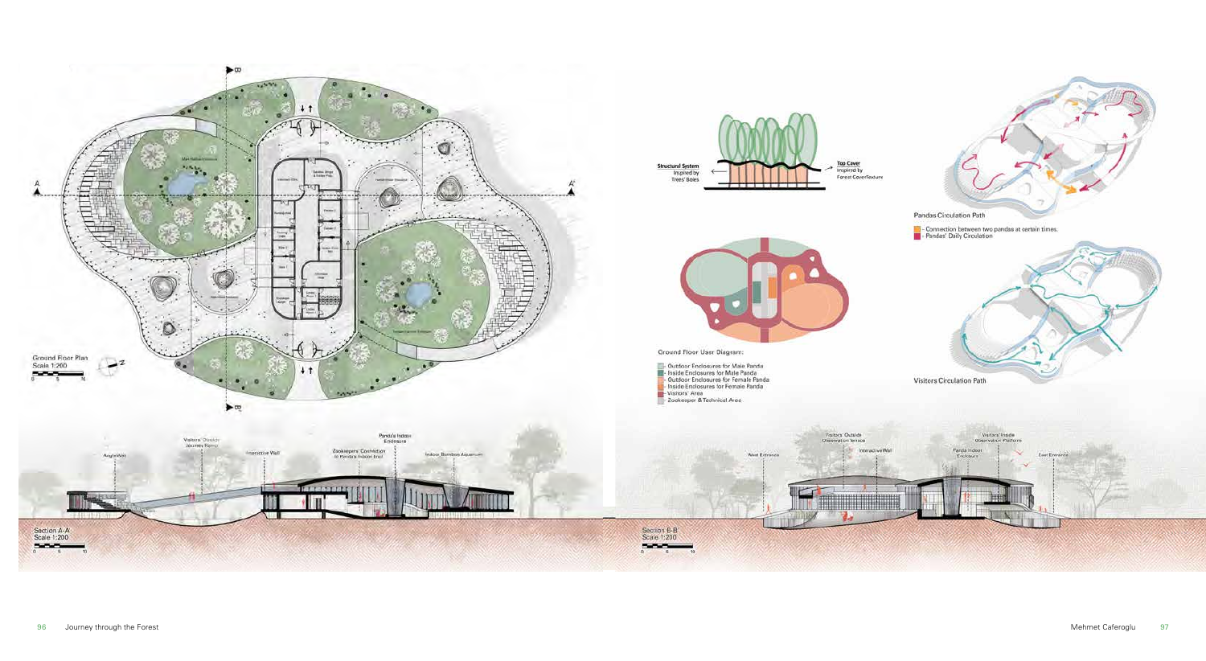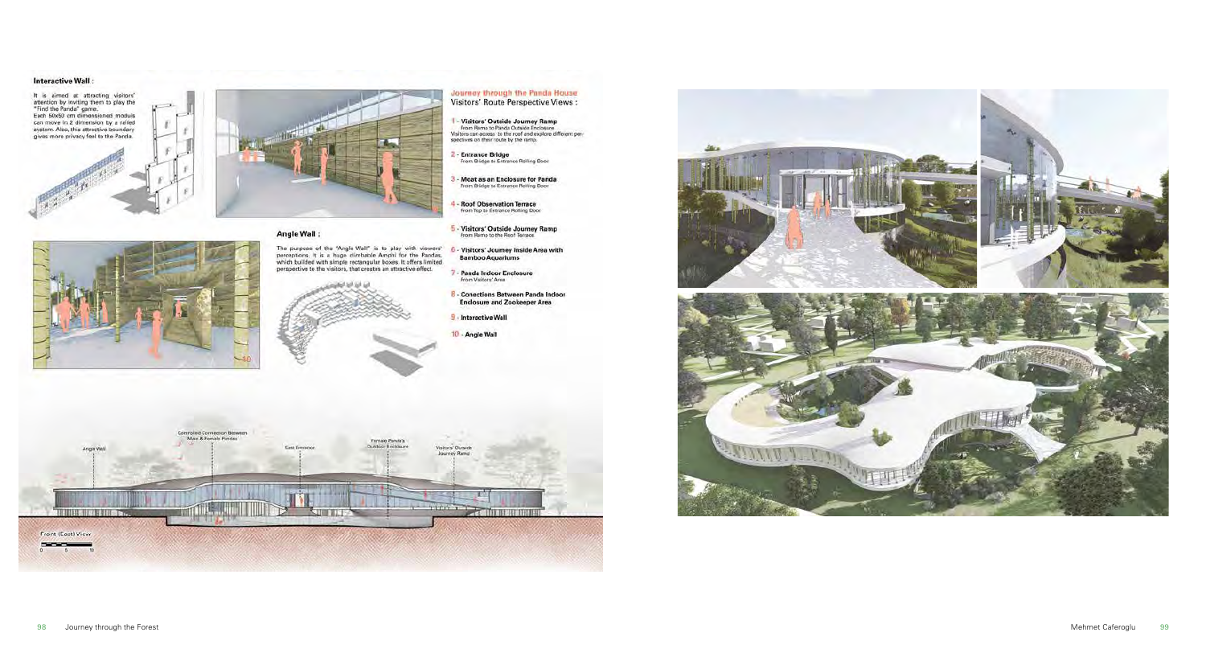## Interactive Wall:

It is armed at attracting visitors'<br>attention by inviting them to play the<br>"Find the Panda" game.<br>Each 50x50 cm dimensioned moduls<br>can move in 2 dimension by a railed<br>system. Also, this attractive boundary<br>gives more priv

Holling .







Angle Wall:

The purpose of the "Angle Wall" is to play with viewers"  $\beta$  - Visitors' Journey Inside Area with perceptions. It is a huge climbable Arnphi for the Pandas, Bamboo Aquariums which builded with simple rectangular boxes. I perspective to the visitors, that creates an attractive effect.



7 - Panda Indoor Enclosure<br>From Visitors' Ama

**B** - Conections Between Panda Indoor **Enclosure and Zookeeper Area** 

9 - Interactive Wall

10 - Angle Wall



Journey through the Panda House Visitors' Route Perspective Views :

<sup>1</sup> - **Visitors' Outside Journey Ramp**<br>From Ramp to Panda Outside Enclosure<br>Visitors can accose to the roof and explore different per-<br>spectives on their route by the ramp.

2 - Entrance Bridge<br>From Bridge to Entrance Rolling Deor

3 - Moat as an Enclosure for Panda From Bridge to Entrance Rolling Door

- Roof Observation Terrace<br>From Top to Entrance Rolling Door

5 - Visitors' Outside Journey Ramp

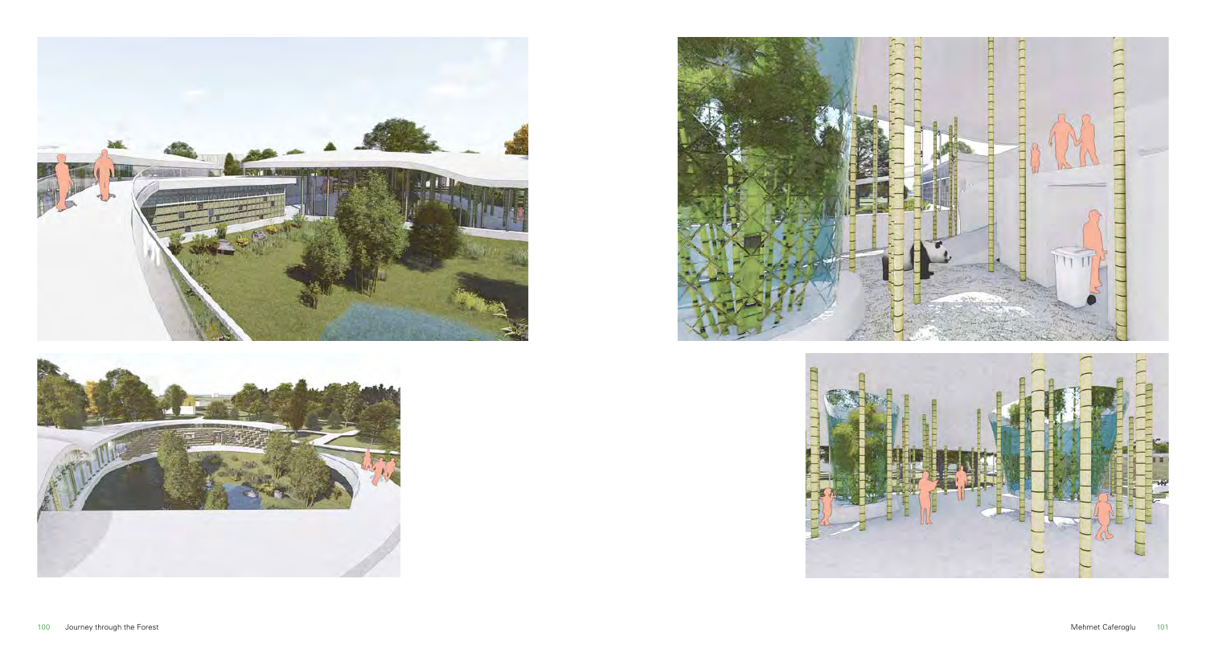